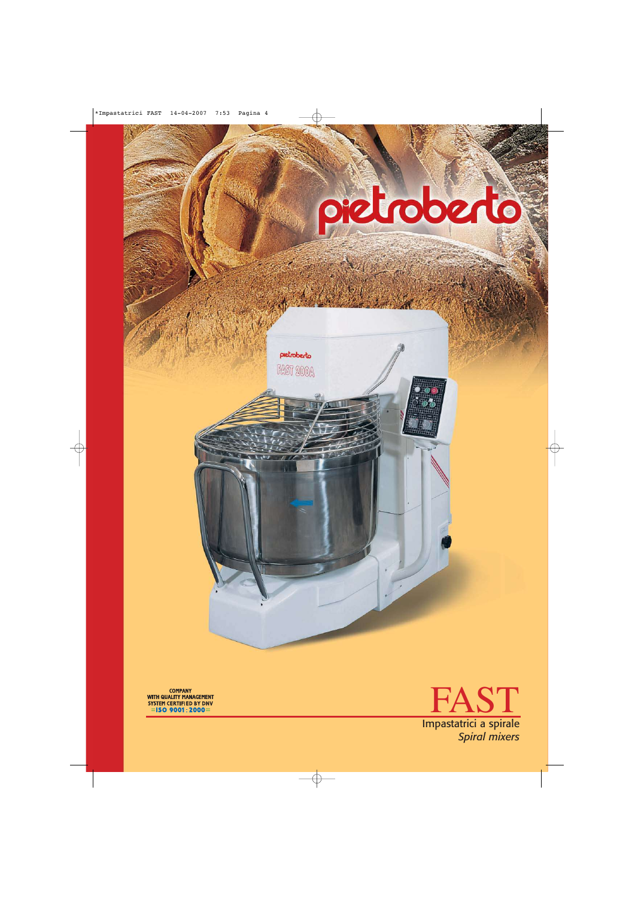

pietroberto

**FAST 200A** 





*Spiral mixers*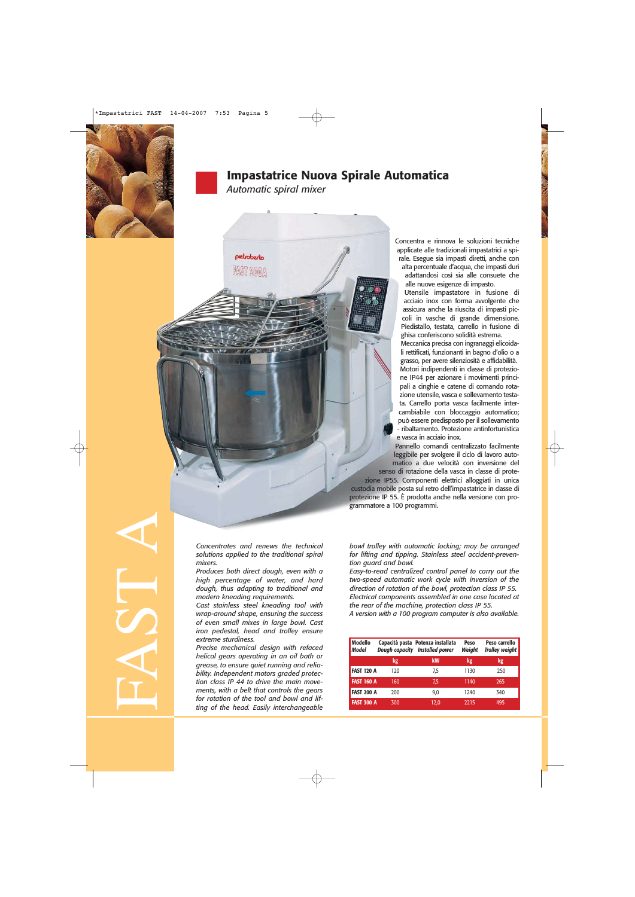

## **Impastatrice Nuova Spirale Automatica**

*Automatic spiral mixer*

**Dietrohert**o



Concentra e rinnova le soluzioni tecniche applicate alle tradizionali impastatrici a spirale. Esegue sia impasti diretti, anche con alta percentuale d'acqua, che impasti duri

adattandosi così sia alle consuete che alle nuove esigenze di impasto.

Utensile impastatore in fusione di acciaio inox con forma avvolgente che assicura anche la riuscita di impasti piccoli in vasche di grande dimensione. Piedistallo, testata, carrello in fusione di ghisa conferiscono solidità estrema.

Meccanica precisa con ingranaggi elicoidali rettificati, funzionanti in bagno d'olio o a grasso, per avere silenziosità e affidabilità. Motori indipendenti in classe di protezione IP44 per azionare i movimenti principali a cinghie e catene di comando rotazione utensile, vasca e sollevamento testata. Carrello porta vasca facilmente intercambiabile con bloccaggio automatico; può essere predisposto per il sollevamento - ribaltamento. Protezione antinfortunistica e vasca in acciaio inox.

Pannello comandi centralizzato facilmente leggibile per svolgere il ciclo di lavoro automatico a due velocità con inversione del

senso di rotazione della vasca in classe di protezione IP55. Componenti elettrici alloggiati in unica custodia mobile posta sul retro dell'impastatrice in classe di protezione IP 55. È prodotta anche nella versione con programmatore a 100 programmi.

FAST A

*Concentrates and renews the technical solutions applied to the traditional spiral mixers.*

*Produces both direct dough, even with a high percentage of water, and hard dough, thus adapting to traditional and modern kneading requirements.* 

*Cast stainless steel kneading tool with wrap-around shape, ensuring the success of even small mixes in large bowl. Cast iron pedestal, head and trolley ensure extreme sturdiness.* 

*Precise mechanical design with refaced helical gears operating in an oil bath or grease, to ensure quiet running and reliability. Independent motors graded protection class IP 44 to drive the main movements, with a belt that controls the gears for rotation of the tool and bowl and lifting of the head. Easily interchangeable*

*bowl trolley with automatic locking; may be arranged for lifting and tipping. Stainless steel accident-prevention guard and bowl.*

*Easy-to-read centralized control panel to carry out the two-speed automatic work cycle with inversion of the direction of rotation of the bowl, protection class IP 55. Electrical components assembled in one case located at the rear of the machine, protection class IP 55. A version with a 100 program computer is also available.*

| <b>Modello</b><br><b>Model</b> | <b>Dough capacity</b> | Capacità pasta Potenza installata<br><b>Installed power</b> | Peso<br>Weight | Peso carrello<br><b>Trolley weight</b> |
|--------------------------------|-----------------------|-------------------------------------------------------------|----------------|----------------------------------------|
|                                | kg                    | kW                                                          | kg             | kg                                     |
| <b>FAST 120 A</b>              | 120                   | 7,5                                                         | 1130           | 250                                    |
| <b>FAST 160 A</b>              | 160                   | 7,5                                                         | 1140           | 265                                    |
| <b>FAST 200 A</b>              | 200                   | 9,0                                                         | 1240           | 340                                    |
| <b>FAST 300 A</b>              | 300                   | 12,0                                                        | 2215           | 495                                    |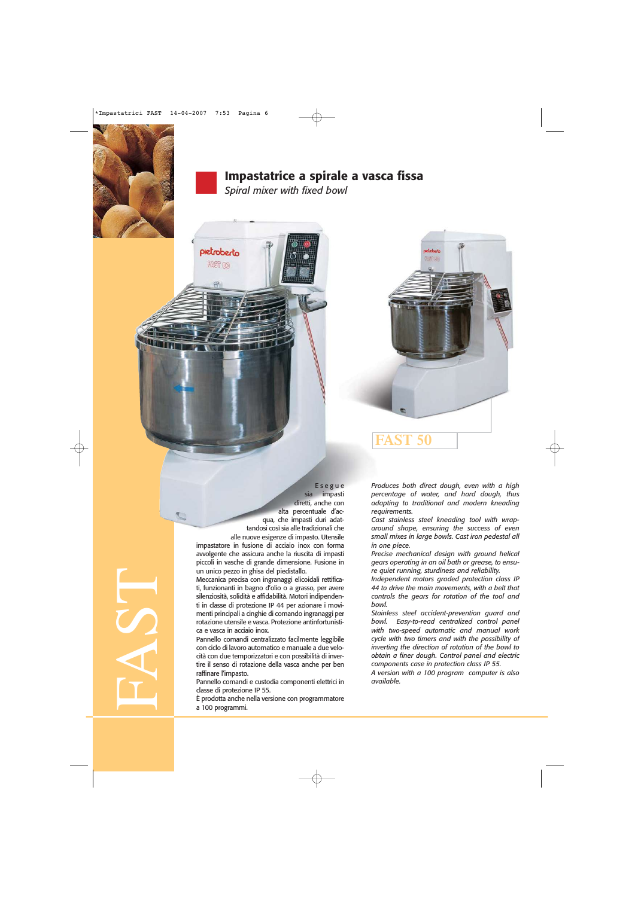

## **Impastatrice a spirale a vasca fissa**

Esegue sia impasti

*Spiral mixer with fixed bowl*

pietroberto **FAST 00** 



diretti, anche con alta percentuale d'acqua, che impasti duri adattandosi così sia alle tradizionali che alle nuove esigenze di impasto. Utensile impastatore in fusione di acciaio inox con forma avvolgente che assicura anche la riuscita di impasti piccoli in vasche di grande dimensione. Fusione in un unico pezzo in ghisa del piedistallo.

Meccanica precisa con ingranaggi elicoidali rettificati, funzionanti in bagno d'olio o a grasso, per avere silenziosità, solidità e affidabilità. Motori indipendenti in classe di protezione IP 44 per azionare i movimenti principali a cinghie di comando ingranaggi per rotazione utensile e vasca. Protezione antinfortunistica e vasca in acciaio inox.

Pannello comandi centralizzato facilmente leggibile con ciclo di lavoro automatico e manuale a due velocità con due temporizzatori e con possibilità di invertire il senso di rotazione della vasca anche per ben raffinare l'impasto.

Pannello comandi e custodia componenti elettrici in classe di protezione IP 55.

È prodotta anche nella versione con programmatore a 100 programmi.

*Produces both direct dough, even with a high percentage of water, and hard dough, thus adapting to traditional and modern kneading requirements.* 

**ST 50** 

*Cast stainless steel kneading tool with wraparound shape, ensuring the success of even small mixes in large bowls. Cast iron pedestal all in one piece.* 

*Precise mechanical design with ground helical gears operating in an oil bath or grease, to ensure quiet running, sturdiness and reliability.* 

*Independent motors graded protection class IP 44 to drive the main movements, with a belt that controls the gears for rotation of the tool and bowl.* 

*Stainless steel accident-prevention guard and bowl. Easy-to-read centralized control panel with two-speed automatic and manual work cycle with two timers and with the possibility of inverting the direction of rotation of the bowl to obtain a finer dough. Control panel and electric components case in protection class IP 55.* 

*A version with a 100 program computer is also available.*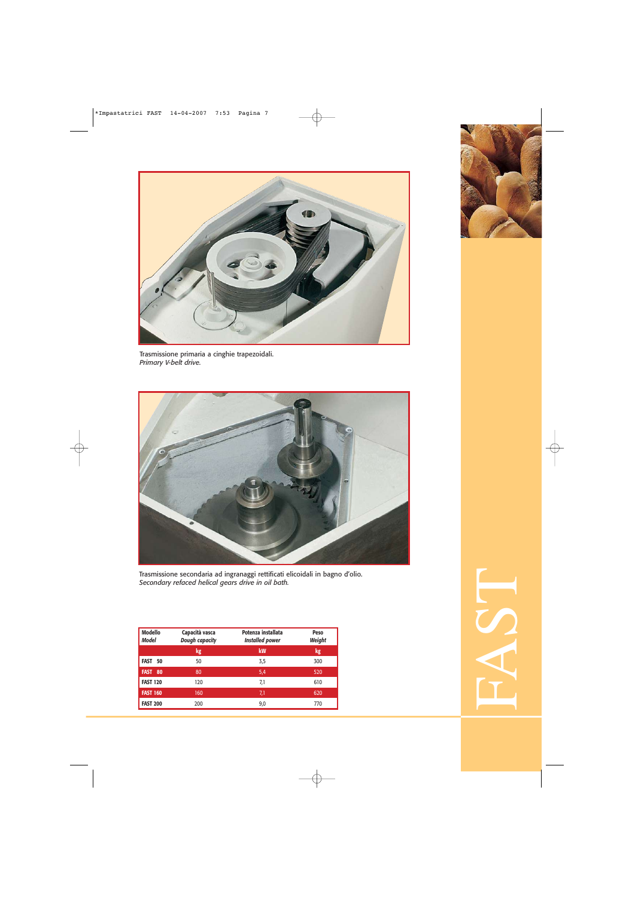





Trasmissione secondaria ad ingranaggi rettificati elicoidali in bagno d'olio. *Secondary refaced helical gears drive in oil bath.*

| <b>Modello</b><br><b>Model</b> | Capacità vasca<br><b>Dough capacity</b> | Potenza installata<br><b>Installed power</b> | Peso<br>Weight |
|--------------------------------|-----------------------------------------|----------------------------------------------|----------------|
|                                | kg                                      | kW                                           | kg             |
| FAST<br>50                     | 50                                      | 3,5                                          | 300            |
| 80<br><b>FAST</b>              | 80                                      | 5,4                                          | 520            |
| <b>FAST 120</b>                | 120                                     | 7,1                                          | 610            |
| <b>FAST 160</b>                | 160                                     | 7,1                                          | 620            |
| <b>FAST 200</b>                | 200                                     | 9,0                                          | 770            |



FAST<br>FAST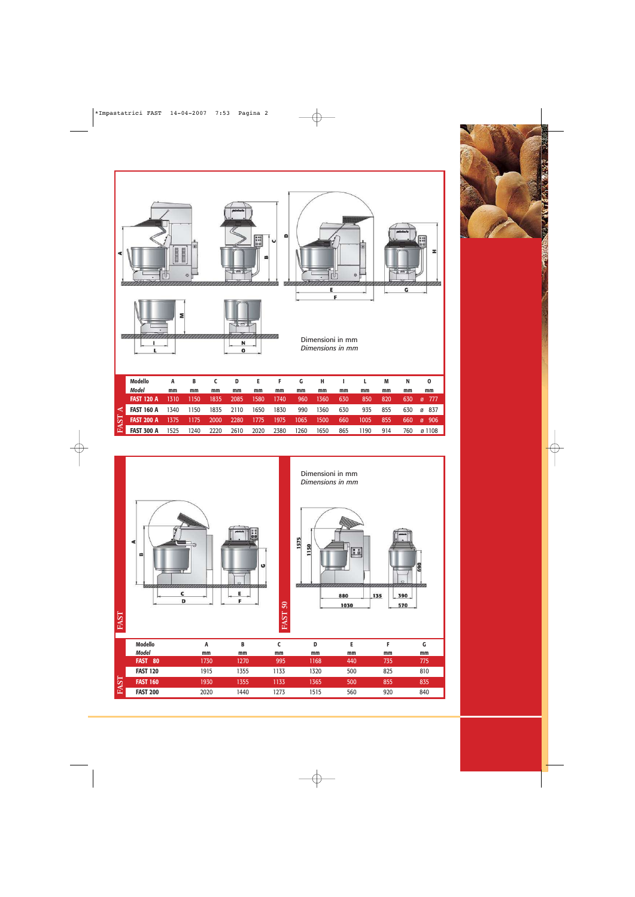